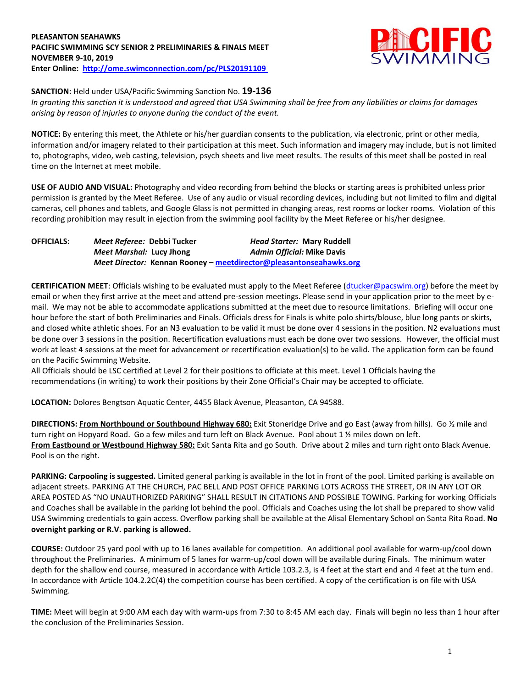# **PLEASANTON SEAHAWKS PACIFIC SWIMMING SCY SENIOR 2 PRELIMINARIES & FINALS MEET NOVEMBER 9-10, 2019 Enter Online: <http://ome.swimconnection.com/pc/PLS20191109>**



## **SANCTION:** Held under USA/Pacific Swimming Sanction No. **19-136**

*In granting this sanction it is understood and agreed that USA Swimming shall be free from any liabilities or claims for damages arising by reason of injuries to anyone during the conduct of the event.*

**NOTICE:** By entering this meet, the Athlete or his/her guardian consents to the publication, via electronic, print or other media, information and/or imagery related to their participation at this meet. Such information and imagery may include, but is not limited to, photographs, video, web casting, television, psych sheets and live meet results. The results of this meet shall be posted in real time on the Internet at meet mobile.

**USE OF AUDIO AND VISUAL:** Photography and video recording from behind the blocks or starting areas is prohibited unless prior permission is granted by the Meet Referee. Use of any audio or visual recording devices, including but not limited to film and digital cameras, cell phones and tablets, and Google Glass is not permitted in changing areas, rest rooms or locker rooms. Violation of this recording prohibition may result in ejection from the swimming pool facility by the Meet Referee or his/her designee.

**OFFICIALS:** *Meet Referee:* **Debbi Tucker** *Head Starter:* **Mary Ruddell** *Meet Marshal:* **Lucy Jhong** *Admin Official:* **Mike Davis** *Meet Director:* **Kennan Rooney – [meetdirector@pleasantonseahawks.org](mailto:meetdirector@pleasantonseahawks.org)**

**CERTIFICATION MEET**: Officials wishing to be evaluated must apply to the Meet Referee [\(dtucker@pacswim.org\)](mailto:dtucker@pacswim.org) before the meet by email or when they first arrive at the meet and attend pre-session meetings. Please send in your application prior to the meet by email. We may not be able to accommodate applications submitted at the meet due to resource limitations. Briefing will occur one hour before the start of both Preliminaries and Finals. Officials dress for Finals is white polo shirts/blouse, blue long pants or skirts, and closed white athletic shoes. For an N3 evaluation to be valid it must be done over 4 sessions in the position. N2 evaluations must be done over 3 sessions in the position. Recertification evaluations must each be done over two sessions. However, the official must work at least 4 sessions at the meet for advancement or recertification evaluation(s) to be valid. The application form can be found on the Pacific Swimming Website.

All Officials should be LSC certified at Level 2 for their positions to officiate at this meet. Level 1 Officials having the recommendations (in writing) to work their positions by their Zone Official's Chair may be accepted to officiate.

**LOCATION:** Dolores Bengtson Aquatic Center, 4455 Black Avenue, Pleasanton, CA 94588.

**DIRECTIONS: From Northbound or Southbound Highway 680:** Exit Stoneridge Drive and go East (away from hills). Go ½ mile and turn right on Hopyard Road. Go a few miles and turn left on Black Avenue. Pool about 1 1/2 miles down on left. **From Eastbound or Westbound Highway 580:** Exit Santa Rita and go South. Drive about 2 miles and turn right onto Black Avenue. Pool is on the right.

**PARKING: Carpooling is suggested.** Limited general parking is available in the lot in front of the pool. Limited parking is available on adjacent streets. PARKING AT THE CHURCH, PAC BELL AND POST OFFICE PARKING LOTS ACROSS THE STREET, OR IN ANY LOT OR AREA POSTED AS "NO UNAUTHORIZED PARKING" SHALL RESULT IN CITATIONS AND POSSIBLE TOWING. Parking for working Officials and Coaches shall be available in the parking lot behind the pool. Officials and Coaches using the lot shall be prepared to show valid USA Swimming credentials to gain access. Overflow parking shall be available at the Alisal Elementary School on Santa Rita Road. **No overnight parking or R.V. parking is allowed.**

**COURSE:** Outdoor 25 yard pool with up to 16 lanes available for competition. An additional pool available for warm-up/cool down throughout the Preliminaries. A minimum of 5 lanes for warm-up/cool down will be available during Finals. The minimum water depth for the shallow end course, measured in accordance with Article 103.2.3, is 4 feet at the start end and 4 feet at the turn end. In accordance with Article 104.2.2C(4) the competition course has been certified. A copy of the certification is on file with USA Swimming.

**TIME:** Meet will begin at 9:00 AM each day with warm-ups from 7:30 to 8:45 AM each day. Finals will begin no less than 1 hour after the conclusion of the Preliminaries Session.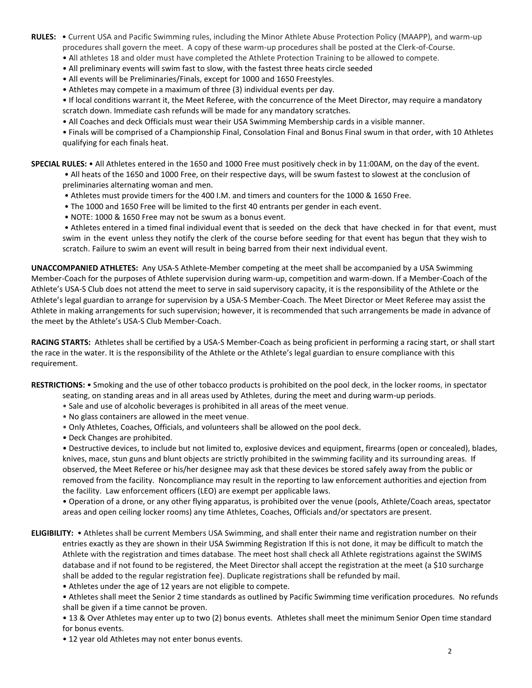- **RULES:** Current USA and Pacific Swimming rules, including the Minor Athlete Abuse Protection Policy (MAAPP), and warm-up procedures shall govern the meet. A copy of these warm-up procedures shall be posted at the Clerk-of-Course.
	- All athletes 18 and older must have completed the Athlete Protection Training to be allowed to compete.
	- All preliminary events will swim fast to slow, with the fastest three heats circle seeded
	- All events will be Preliminaries/Finals, except for 1000 and 1650 Freestyles.
	- Athletes may compete in a maximum of three (3) individual events per day.
	- If local conditions warrant it, the Meet Referee, with the concurrence of the Meet Director, may require a mandatory scratch down. Immediate cash refunds will be made for any mandatory scratches.
	- All Coaches and deck Officials must wear their USA Swimming Membership cards in a visible manner.
	- Finals will be comprised of a Championship Final, Consolation Final and Bonus Final swum in that order, with 10 Athletes qualifying for each finals heat.

**SPECIAL RULES:** • All Athletes entered in the 1650 and 1000 Free must positively check in by 11:00AM, on the day of the event.

- All heats of the 1650 and 1000 Free, on their respective days, will be swum fastest to slowest at the conclusion of preliminaries alternating woman and men.
- Athletes must provide timers for the 400 I.M. and timers and counters for the 1000 & 1650 Free.
- The 1000 and 1650 Free will be limited to the first 40 entrants per gender in each event.
- NOTE: 1000 & 1650 Free may not be swum as a bonus event.

• Athletes entered in a timed final individual event that is seeded on the deck that have checked in for that event, must swim in the event unless they notify the clerk of the course before seeding for that event has begun that they wish to scratch. Failure to swim an event will result in being barred from their next individual event.

**UNACCOMPANIED ATHLETES:** Any USA-S Athlete-Member competing at the meet shall be accompanied by a USA Swimming Member-Coach for the purposes of Athlete supervision during warm-up, competition and warm-down. If a Member-Coach of the Athlete's USA-S Club does not attend the meet to serve in said supervisory capacity, it is the responsibility of the Athlete or the Athlete's legal guardian to arrange for supervision by a USA-S Member-Coach. The Meet Director or Meet Referee may assist the Athlete in making arrangements for such supervision; however, it is recommended that such arrangements be made in advance of the meet by the Athlete's USA-S Club Member-Coach.

**RACING STARTS:** Athletes shall be certified by a USA-S Member-Coach as being proficient in performing a racing start, or shall start the race in the water. It is the responsibility of the Athlete or the Athlete's legal guardian to ensure compliance with this requirement.

**RESTRICTIONS:** • Smoking and the use of other tobacco products is prohibited on the pool deck, in the locker rooms, in spectator

- seating, on standing areas and in all areas used by Athletes, during the meet and during warm-up periods.
- Sale and use of alcoholic beverages is prohibited in all areas of the meet venue.
- No glass containers are allowed in the meet venue.
- Only Athletes, Coaches, Officials, and volunteers shall be allowed on the pool deck.
- Deck Changes are prohibited.

• Destructive devices, to include but not limited to, explosive devices and equipment, firearms (open or concealed), blades, knives, mace, stun guns and blunt objects are strictly prohibited in the swimming facility and its surrounding areas. If observed, the Meet Referee or his/her designee may ask that these devices be stored safely away from the public or removed from the facility. Noncompliance may result in the reporting to law enforcement authorities and ejection from the facility. Law enforcement officers (LEO) are exempt per applicable laws.

• Operation of a drone, or any other flying apparatus, is prohibited over the venue (pools, Athlete/Coach areas, spectator areas and open ceiling locker rooms) any time Athletes, Coaches, Officials and/or spectators are present.

**ELIGIBILITY:** • Athletes shall be current Members USA Swimming, and shall enter their name and registration number on their entries exactly as they are shown in their USA Swimming Registration If this is not done, it may be difficult to match the Athlete with the registration and times database. The meet host shall check all Athlete registrations against the SWIMS database and if not found to be registered, the Meet Director shall accept the registration at the meet (a \$10 surcharge shall be added to the regular registration fee). Duplicate registrations shall be refunded by mail.

• Athletes under the age of 12 years are not eligible to compete.

• Athletes shall meet the Senior 2 time standards as outlined by Pacific Swimming time verification procedures. No refunds shall be given if a time cannot be proven.

• 13 & Over Athletes may enter up to two (2) bonus events. Athletes shall meet the minimum Senior Open time standard for bonus events.

• 12 year old Athletes may not enter bonus events.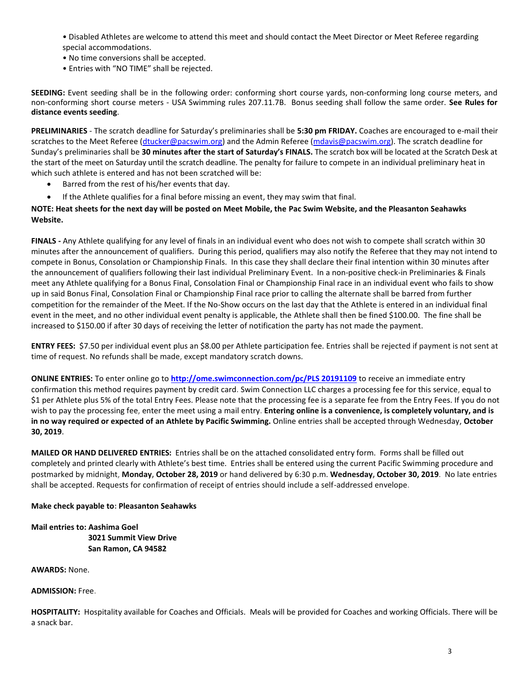• Disabled Athletes are welcome to attend this meet and should contact the Meet Director or Meet Referee regarding special accommodations.

- No time conversions shall be accepted.
- Entries with "NO TIME" shall be rejected.

**SEEDING:** Event seeding shall be in the following order: conforming short course yards, non-conforming long course meters, and non-conforming short course meters - USA Swimming rules 207.11.7B. Bonus seeding shall follow the same order. **See Rules for distance events seeding**.

**PRELIMINARIES** - The scratch deadline for Saturday's preliminaries shall be **5:30 pm FRIDAY.** Coaches are encouraged to e-mail their scratches to the Meet Referee [\(dtucker@pacswim.org\)](mailto:dtucker@pacswim.org) and the Admin Referee [\(mdavis@pacswim.org\)](mailto:mdavis@pacswim.org). The scratch deadline for Sunday's preliminaries shall be **30 minutes after the start of Saturday's FINALS.** The scratch box will be located at the Scratch Desk at the start of the meet on Saturday until the scratch deadline. The penalty for failure to compete in an individual preliminary heat in which such athlete is entered and has not been scratched will be:

- Barred from the rest of his/her events that day.
- If the Athlete qualifies for a final before missing an event, they may swim that final.

### **NOTE: Heat sheets for the next day will be posted on Meet Mobile, the Pac Swim Website, and the Pleasanton Seahawks Website.**

**FINALS -** Any Athlete qualifying for any level of finals in an individual event who does not wish to compete shall scratch within 30 minutes after the announcement of qualifiers. During this period, qualifiers may also notify the Referee that they may not intend to compete in Bonus, Consolation or Championship Finals. In this case they shall declare their final intention within 30 minutes after the announcement of qualifiers following their last individual Preliminary Event. In a non-positive check-in Preliminaries & Finals meet any Athlete qualifying for a Bonus Final, Consolation Final or Championship Final race in an individual event who fails to show up in said Bonus Final, Consolation Final or Championship Final race prior to calling the alternate shall be barred from further competition for the remainder of the Meet. If the No-Show occurs on the last day that the Athlete is entered in an individual final event in the meet, and no other individual event penalty is applicable, the Athlete shall then be fined \$100.00. The fine shall be increased to \$150.00 if after 30 days of receiving the letter of notification the party has not made the payment.

**ENTRY FEES:** \$7.50 per individual event plus an \$8.00 per Athlete participation fee. Entries shall be rejected if payment is not sent at time of request. No refunds shall be made, except mandatory scratch downs.

**ONLINE ENTRIES:** To enter online go to **[http://ome.swimconnection.com/pc/PLS 20191109](http://ome.swimconnection.com/pc/PLS%2020191109)** to receive an immediate entry confirmation this method requires payment by credit card. Swim Connection LLC charges a processing fee for this service, equal to \$1 per Athlete plus 5% of the total Entry Fees. Please note that the processing fee is a separate fee from the Entry Fees. If you do not wish to pay the processing fee, enter the meet using a mail entry. **Entering online is a convenience, is completely voluntary, and is in no way required or expected of an Athlete by Pacific Swimming.** Online entries shall be accepted through Wednesday, **October 30, 2019**.

**MAILED OR HAND DELIVERED ENTRIES:** Entries shall be on the attached consolidated entry form. Forms shall be filled out completely and printed clearly with Athlete's best time. Entries shall be entered using the current Pacific Swimming procedure and postmarked by midnight, **Monday, October 28, 2019** or hand delivered by 6:30 p.m. **Wednesday, October 30, 2019**. No late entries shall be accepted. Requests for confirmation of receipt of entries should include a self-addressed envelope.

#### **Make check payable to: Pleasanton Seahawks**

**Mail entries to: Aashima Goel 3021 Summit View Drive San Ramon, CA 94582** 

**AWARDS:** None.

**ADMISSION:** Free.

**HOSPITALITY:** Hospitality available for Coaches and Officials. Meals will be provided for Coaches and working Officials. There will be a snack bar.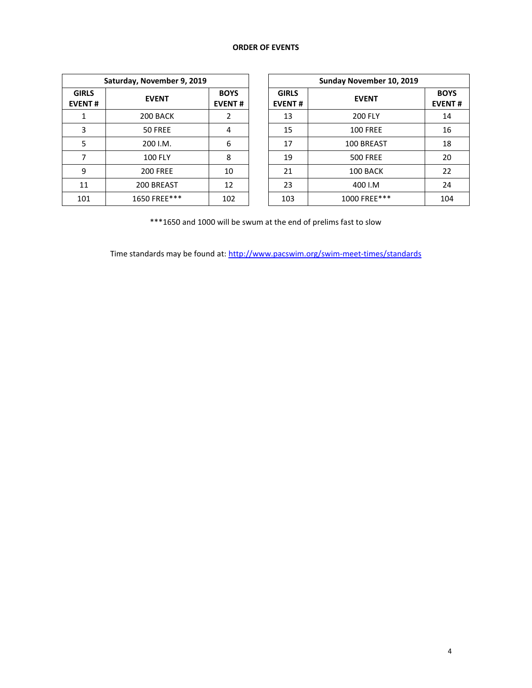# **ORDER OF EVENTS**

| Saturday, November 9, 2019    |                 |                              |  |  |  |  |  |
|-------------------------------|-----------------|------------------------------|--|--|--|--|--|
| <b>GIRLS</b><br><b>EVENT#</b> | <b>EVENT</b>    | <b>BOYS</b><br><b>EVENT#</b> |  |  |  |  |  |
| 1                             | 200 BACK        | 2                            |  |  |  |  |  |
| 3                             | <b>50 FREE</b>  | 4                            |  |  |  |  |  |
| 5                             | 200 I.M.        | 6                            |  |  |  |  |  |
| 7                             | <b>100 FLY</b>  | 8                            |  |  |  |  |  |
| 9                             | <b>200 FREE</b> | 10                           |  |  |  |  |  |
| 11                            | 200 BREAST      | 12                           |  |  |  |  |  |
| 101                           | 1650 FREE***    | 102                          |  |  |  |  |  |

|                             | Saturday, November 9, 2019 |                              | Sunday November 10, 2019      |                 |                              |  |  |  |
|-----------------------------|----------------------------|------------------------------|-------------------------------|-----------------|------------------------------|--|--|--|
| <b>iIRLS</b><br><b>ENT#</b> | <b>EVENT</b>               | <b>BOYS</b><br><b>EVENT#</b> | <b>GIRLS</b><br><b>EVENT#</b> | <b>EVENT</b>    | <b>BOYS</b><br><b>EVENT#</b> |  |  |  |
| 1                           | 200 BACK                   |                              | 13                            | <b>200 FLY</b>  | 14                           |  |  |  |
| 3                           | 50 FREE                    | 4                            | 15                            | <b>100 FREE</b> | 16                           |  |  |  |
| 5                           | 200 I.M.                   | 6                            | 17                            | 100 BREAST      | 18                           |  |  |  |
|                             | <b>100 FLY</b>             | 8                            | 19                            | <b>500 FREE</b> | 20                           |  |  |  |
| 9                           | <b>200 FREE</b>            | 10                           | 21                            | 100 BACK        | 22                           |  |  |  |
| 11                          | 200 BREAST                 | 12                           | 23                            | 400 I.M         | 24                           |  |  |  |
| 101                         | 1650 FREE***               | 102                          | 103                           | 1000 FREE***    | 104                          |  |  |  |

\*\*\*1650 and 1000 will be swum at the end of prelims fast to slow

Time standards may be found at:<http://www.pacswim.org/swim-meet-times/standards>